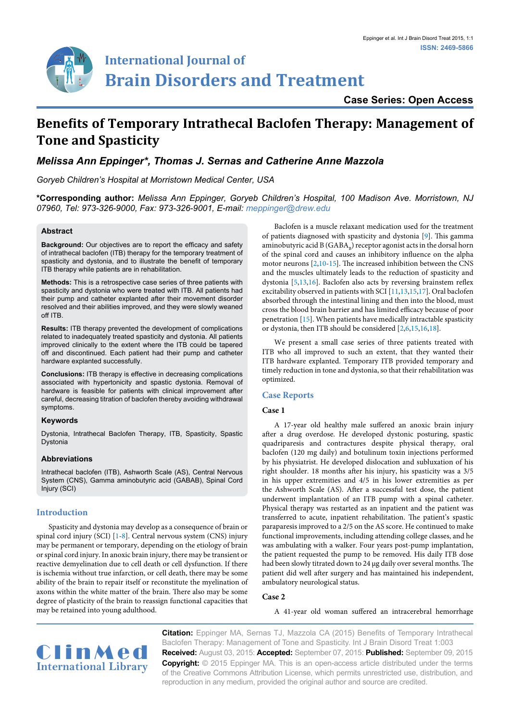

# **International Journal of Brain Disorders and Treatment**

**Case Series: Open Access**

## **Benefits of Temporary Intrathecal Baclofen Therapy: Management of Tone and Spasticity**

### *Melissa Ann Eppinger\*, Thomas J. Sernas and Catherine Anne Mazzola*

*Goryeb Children's Hospital at Morristown Medical Center, USA*

**\*Corresponding author:** *Melissa Ann Eppinger, Goryeb Children's Hospital, 100 Madison Ave. Morristown, NJ 07960, Tel: 973-326-9000, Fax: 973-326-9001, E-mail: meppinger@drew.edu*

#### **Abstract**

**Background:** Our objectives are to report the efficacy and safety of intrathecal baclofen (ITB) therapy for the temporary treatment of spasticity and dystonia, and to illustrate the benefit of temporary ITB therapy while patients are in rehabilitation.

**Methods:** This is a retrospective case series of three patients with spasticity and dystonia who were treated with ITB. All patients had their pump and catheter explanted after their movement disorder resolved and their abilities improved, and they were slowly weaned off ITB.

**Results:** ITB therapy prevented the development of complications related to inadequately treated spasticity and dystonia. All patients improved clinically to the extent where the ITB could be tapered off and discontinued. Each patient had their pump and catheter hardware explanted successfully.

**Conclusions:** ITB therapy is effective in decreasing complications associated with hypertonicity and spastic dystonia. Removal of hardware is feasible for patients with clinical improvement after careful, decreasing titration of baclofen thereby avoiding withdrawal symptoms.

#### **Keywords**

Dystonia, Intrathecal Baclofen Therapy, ITB, Spasticity, Spastic Dystonia

#### **Abbreviations**

Intrathecal baclofen (ITB), Ashworth Scale (AS), Central Nervous System (CNS), Gamma aminobutyric acid (GABAB), Spinal Cord Injury (SCI)

#### **Introduction**

Spasticity and dystonia may develop as a consequence of brain or spinal cord injury (SCI) [[1](#page-1-0)[-8](#page-1-1)]. Central nervous system (CNS) injury may be permanent or temporary, depending on the etiology of brain or spinal cord injury. In anoxic brain injury, there may be transient or reactive demyelination due to cell death or cell dysfunction. If there is ischemia without true infarction, or cell death, there may be some ability of the brain to repair itself or reconstitute the myelination of axons within the white matter of the brain. There also may be some degree of plasticity of the brain to reassign functional capacities that may be retained into young adulthood.

Baclofen is a muscle relaxant medication used for the treatment of patients diagnosed with spasticity and dystonia [\[9\]](#page-1-2). This gamma aminobutyric acid B ( $GABA_n$ ) receptor agonist acts in the dorsal horn of the spinal cord and causes an inhibitory influence on the alpha motor neurons [[2](#page-1-3)[,10-](#page-2-0)[15\]](#page-2-1). The increased inhibition between the CNS and the muscles ultimately leads to the reduction of spasticity and dystonia [\[5](#page-1-4)[,13](#page-2-2)[,16\]](#page-2-3). Baclofen also acts by reversing brainstem reflex excitability observed in patients with SCI [[11](#page-2-4)[,13,](#page-2-2)[15,](#page-2-1)[17](#page-2-5)]. Oral baclofen absorbed through the intestinal lining and then into the blood, must cross the blood brain barrier and has limited efficacy because of poor penetration [\[15\]](#page-2-1). When patients have medically intractable spasticity or dystonia, then ITB should be considered [[2](#page-1-3)[,6,](#page-1-5)[15](#page-2-1)[,16](#page-2-3)[,18\]](#page-2-6).

We present a small case series of three patients treated with ITB who all improved to such an extent, that they wanted their ITB hardware explanted. Temporary ITB provided temporary and timely reduction in tone and dystonia, so that their rehabilitation was optimized.

#### **Case Reports**

#### **Case 1**

A 17-year old healthy male suffered an anoxic brain injury after a drug overdose. He developed dystonic posturing, spastic quadriparesis and contractures despite physical therapy, oral baclofen (120 mg daily) and botulinum toxin injections performed by his physiatrist. He developed dislocation and subluxation of his right shoulder. 18 months after his injury, his spasticity was a 3/5 in his upper extremities and 4/5 in his lower extremities as per the Ashworth Scale (AS). After a successful test dose, the patient underwent implantation of an ITB pump with a spinal catheter. Physical therapy was restarted as an inpatient and the patient was transferred to acute, inpatient rehabilitation. The patient's spastic paraparesis improved to a 2/5 on the AS score. He continued to make functional improvements, including attending college classes, and he was ambulating with a walker. Four years post-pump implantation, the patient requested the pump to be removed. His daily ITB dose had been slowly titrated down to 24 µg daily over several months. The patient did well after surgery and has maintained his independent, ambulatory neurological status.

#### **Case 2**

A 41-year old woman suffered an intracerebral hemorrhage



**Citation:** Eppinger MA, Sernas TJ, Mazzola CA (2015) Benefits of Temporary Intrathecal Baclofen Therapy: Management of Tone and Spasticity. Int J Brain Disord Treat 1:003 **Received:** August 03, 2015: **Accepted:** September 07, 2015: **Published:** September 09, 2015 **Copyright:** © 2015 Eppinger MA. This is an open-access article distributed under the terms of the Creative Commons Attribution License, which permits unrestricted use, distribution, and reproduction in any medium, provided the original author and source are credited.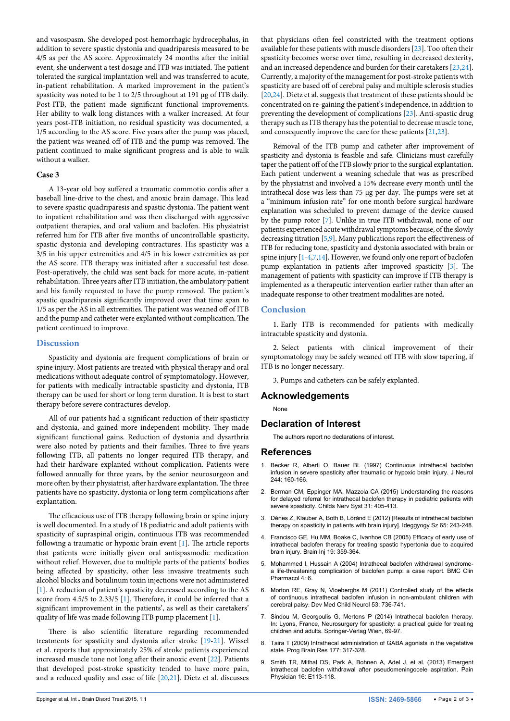and vasospasm. She developed post-hemorrhagic hydrocephalus, in addition to severe spastic dystonia and quadriparesis measured to be 4/5 as per the AS score. Approximately 24 months after the initial event, she underwent a test dosage and ITB was initiated. The patient tolerated the surgical implantation well and was transferred to acute, in-patient rehabilitation. A marked improvement in the patient's spasticity was noted to be 1 to 2/5 throughout at 191 µg of ITB daily. Post-ITB, the patient made significant functional improvements. Her ability to walk long distances with a walker increased. At four years post-ITB initiation, no residual spasticity was documented, a 1/5 according to the AS score. Five years after the pump was placed, the patient was weaned off of ITB and the pump was removed. The patient continued to make significant progress and is able to walk without a walker.

#### **Case 3**

A 13-year old boy suffered a traumatic commotio cordis after a baseball line-drive to the chest, and anoxic brain damage. This lead to severe spastic quadriparesis and spastic dystonia. The patient went to inpatient rehabilitation and was then discharged with aggressive outpatient therapies, and oral valium and baclofen. His physiatrist referred him for ITB after five months of uncontrollable spasticity, spastic dystonia and developing contractures. His spasticity was a 3/5 in his upper extremities and 4/5 in his lower extremities as per the AS score. ITB therapy was initiated after a successful test dose. Post-operatively, the child was sent back for more acute, in-patient rehabilitation. Three years after ITB initiation, the ambulatory patient and his family requested to have the pump removed. The patient's spastic quadriparesis significantly improved over that time span to 1/5 as per the AS in all extremities. The patient was weaned off of ITB and the pump and catheter were explanted without complication. The patient continued to improve.

#### **Discussion**

Spasticity and dystonia are frequent complications of brain or spine injury. Most patients are treated with physical therapy and oral medications without adequate control of symptomatology. However, for patients with medically intractable spasticity and dystonia, ITB therapy can be used for short or long term duration. It is best to start therapy before severe contractures develop.

All of our patients had a significant reduction of their spasticity and dystonia, and gained more independent mobility. They made significant functional gains. Reduction of dystonia and dysarthria were also noted by patients and their families. Three to five years following ITB, all patients no longer required ITB therapy, and had their hardware explanted without complication. Patients were followed annually for three years, by the senior neurosurgeon and more often by their physiatrist, after hardware explantation. The three patients have no spasticity, dystonia or long term complications after explantation.

The efficacious use of ITB therapy following brain or spine injury is well documented. In a study of 18 pediatric and adult patients with spasticity of supraspinal origin, continuous ITB was recommended following a traumatic or hypoxic brain event [[1](#page-1-0)]. The article reports that patients were initially given oral antispasmodic medication without relief. However, due to multiple parts of the patients' bodies being affected by spasticity, other less invasive treatments such alcohol blocks and botulinum toxin injections were not administered [[1\]](#page-1-0). A reduction of patient's spasticity decreased according to the AS score from 4.5/5 to 2.33/5 [[1](#page-1-0)]. Therefore, it could be inferred that a significant improvement in the patients', as well as their caretakers' quality of life was made following ITB pump placement [[1](#page-1-0)].

There is also scientific literature regarding recommended treatments for spasticity and dystonia after stroke [\[19](#page-2-7)[-21\]](#page-2-8). Wissel et al. reports that approximately 25% of stroke patients experienced increased muscle tone not long after their anoxic event [[22](#page-2-9)]. Patients that developed post-stroke spasticity tended to have more pain, and a reduced quality and ease of life [\[20](#page-2-10)[,21\]](#page-2-8). Dietz et al. discusses

that physicians often feel constricted with the treatment options available for these patients with muscle disorders [[23](#page-2-11)]. Too often their spasticity becomes worse over time, resulting in decreased dexterity, and an increased dependence and burden for their caretakers [\[23,](#page-2-11)[24\]](#page-2-12). Currently, a majority of the management for post-stroke patients with spasticity are based off of cerebral palsy and multiple sclerosis studies [[20](#page-2-10),[24](#page-2-12)]. Dietz et al. suggests that treatment of these patients should be concentrated on re-gaining the patient's independence, in addition to preventing the development of complications [[23\]](#page-2-11). Anti-spastic drug therapy such as ITB therapy has the potential to decrease muscle tone, and consequently improve the care for these patients [[21,](#page-2-8)[23](#page-2-11)].

Removal of the ITB pump and catheter after improvement of spasticity and dystonia is feasible and safe. Clinicians must carefully taper the patient off of the ITB slowly prior to the surgical explantation. Each patient underwent a weaning schedule that was as prescribed by the physiatrist and involved a 15% decrease every month until the intrathecal dose was less than 75 µg per day. The pumps were set at a "minimum infusion rate" for one month before surgical hardware explanation was scheduled to prevent damage of the device caused by the pump rotor [[7\]](#page-1-6). Unlike in true ITB withdrawal, none of our patients experienced acute withdrawal symptoms because, of the slowly decreasing titration [\[5](#page-1-4)[,9](#page-1-2)]. Many publications report the effectiveness of ITB for reducing tone, spasticity and dystonia associated with brain or spine injury  $[1-4,7,14]$  $[1-4,7,14]$  $[1-4,7,14]$  $[1-4,7,14]$  $[1-4,7,14]$ . However, we found only one report of baclofen pump explantation in patients after improved spasticity [\[3\]](#page-1-8). The management of patients with spasticity can improve if ITB therapy is implemented as a therapeutic intervention earlier rather than after an inadequate response to other treatment modalities are noted.

#### **Conclusion**

1. Early ITB is recommended for patients with medically intractable spasticity and dystonia.

2. Select patients with clinical improvement of their symptomatology may be safely weaned off ITB with slow tapering, if ITB is no longer necessary.

3. Pumps and catheters can be safely explanted.

#### **Acknowledgements**

None

#### **Declaration of Interest**

The authors report no declarations of interest.

#### **References**

- <span id="page-1-0"></span>1. [Becker R, Alberti O, Bauer BL \(1997\) Continuous intrathecal baclofen](http://www.ncbi.nlm.nih.gov/pubmed/9050956)  [infusion in severe spasticity after traumatic or hypoxic brain injury. J Neurol](http://www.ncbi.nlm.nih.gov/pubmed/9050956)  [244: 160-166.](http://www.ncbi.nlm.nih.gov/pubmed/9050956)
- <span id="page-1-3"></span>2. [Berman CM, Eppinger MA, Mazzola CA \(2015\) Understanding the reasons](http://www.ncbi.nlm.nih.gov/pubmed/25398671)  [for delayed referral for intrathecal baclofen therapy in pediatric patients with](http://www.ncbi.nlm.nih.gov/pubmed/25398671)  [severe spasticity. Childs Nerv Syst 31: 405-413.](http://www.ncbi.nlm.nih.gov/pubmed/25398671)
- <span id="page-1-8"></span>3. [Dénes Z, Klauber A, Both B, Lóránd E \(2012\) \[Results of intrathecal baclofen](http://www.ncbi.nlm.nih.gov/pubmed/23074844)  [therapy on spasticity in patients with brain injury\]. Ideggyogy Sz 65: 243-248.](http://www.ncbi.nlm.nih.gov/pubmed/23074844)
- <span id="page-1-7"></span>4. [Francisco GE, Hu MM, Boake C, Ivanhoe CB \(2005\) Efficacy of early use of](http://www.ncbi.nlm.nih.gov/pubmed/16094783)  [intrathecal baclofen therapy for treating spastic hypertonia due to acquired](http://www.ncbi.nlm.nih.gov/pubmed/16094783)  [brain injury. Brain Inj 19: 359-364.](http://www.ncbi.nlm.nih.gov/pubmed/16094783)
- <span id="page-1-4"></span>5. [Mohammed I, Hussain A \(2004\) Intrathecal baclofen withdrawal syndrome](http://www.ncbi.nlm.nih.gov/pubmed/15301690)[a life-threatening complication of baclofen pump: a case report. BMC Clin](http://www.ncbi.nlm.nih.gov/pubmed/15301690)  [Pharmacol 4: 6.](http://www.ncbi.nlm.nih.gov/pubmed/15301690)
- <span id="page-1-5"></span>6. [Morton RE, Gray N, Vloeberghs M \(2011\) Controlled study of the effects](http://www.ncbi.nlm.nih.gov/pubmed/21707598)  [of continuous intrathecal baclofen infusion in non-ambulant children with](http://www.ncbi.nlm.nih.gov/pubmed/21707598)  [cerebral palsy. Dev Med Child Neurol 53: 736-741.](http://www.ncbi.nlm.nih.gov/pubmed/21707598)
- <span id="page-1-6"></span>7. [Sindou M, Georgoulis G, Mertens P \(2014\) Intrathecal baclofen therapy.](http://www.springer.com/us/book/9783709117705)  [In: Lyons, France, Neurosurgery for spasticity: a practical guide for treating](http://www.springer.com/us/book/9783709117705)  [children and adults. Springer-Verlag Wien, 69-97.](http://www.springer.com/us/book/9783709117705)
- <span id="page-1-1"></span>8. [Taira T \(2009\) Intrathecal administration of GABA agonists in the vegetative](http://www.ncbi.nlm.nih.gov/pubmed/19818910)  [state. Prog Brain Res 177: 317-328.](http://www.ncbi.nlm.nih.gov/pubmed/19818910)
- <span id="page-1-2"></span>9. [Smith TR, Mithal DS, Park A, Bohnen A, Adel J, et al. \(2013\) Emergent](http://www.ncbi.nlm.nih.gov/pubmed/23511686)  [intrathecal baclofen withdrawal after pseudomeningocele aspiration. Pain](http://www.ncbi.nlm.nih.gov/pubmed/23511686)  [Physician 16: E113-118.](http://www.ncbi.nlm.nih.gov/pubmed/23511686)